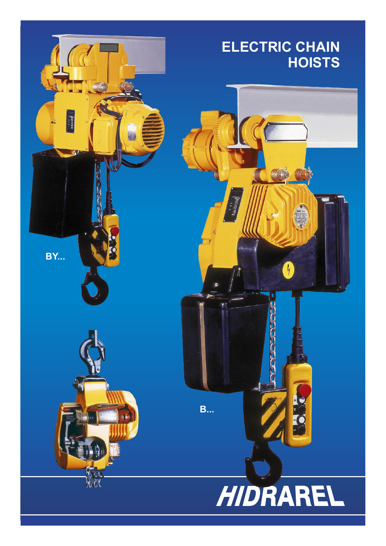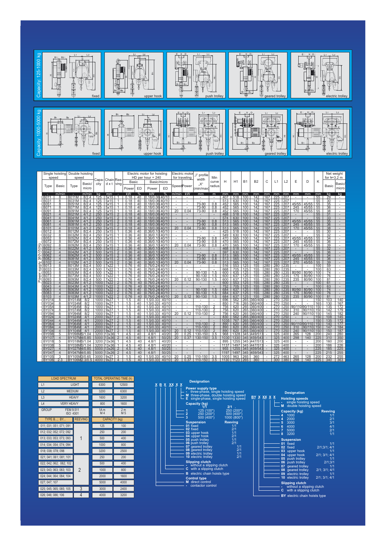

| <b>LOAD SPECTRUM</b>                  |                |                        | <b>TOTAL OPERATING TIME (h)</b> |  |  |  |
|---------------------------------------|----------------|------------------------|---------------------------------|--|--|--|
| L1                                    | LIGHT          | 6300                   | 12500                           |  |  |  |
| L2<br><b>MEDIUM</b>                   |                | 3200                   | 6300                            |  |  |  |
| L <sub>3</sub>                        | <b>HEAVY</b>   | 1600                   | 3200                            |  |  |  |
| $\lfloor 4$<br><b>VERY HEAVY</b>      |                | 800                    | 1600                            |  |  |  |
| <b>GROUP</b><br>FEM 9.511<br>ISO 4301 |                | 1A <sub>m</sub><br>M 4 | 2 <sub>m</sub><br>M 5           |  |  |  |
| TYPE B; BY                            | <b>REEVING</b> | <b>CAPACITY</b> (kg)   |                                 |  |  |  |
| 011; 031; 051; 071; 091               |                | 125                    | 100                             |  |  |  |
| 012; 032; 052; 072; 092               |                | 250                    | 200                             |  |  |  |
| 013; 033; 053; 073; 093               |                | 500                    | 400                             |  |  |  |
| 014: 034: 054: 074: 094               |                | 1000                   | 800                             |  |  |  |
| 018: 038: 078: 098                    |                | 3200                   | 2500                            |  |  |  |
| 021; 041; 061; 081; 101               |                | 250                    | 200                             |  |  |  |
| 022; 042; 062; 082; 102               |                | 500                    | 400                             |  |  |  |
| 023; 043; 063; 083; 103               | 2              | 1000                   | 800                             |  |  |  |
| 024; 044; 064; 084; 104               |                | 2000                   | 1600                            |  |  |  |
| 027; 047; 107                         |                | 5000                   | 4000                            |  |  |  |
| 025; 045; 065; 085; 105               | 3              | 3000                   | 2400                            |  |  |  |
| 026: 046: 086: 106                    | 4              | 4000                   | 3200                            |  |  |  |



## **Designation BY X XX X Hoisting speeds**<br>  $\begin{array}{|c|c|c|c|c|c|c|c} \hline \text{ } & \text{ } & \text{ } & \text{ } \\ \hline \end{array}$   $\begin{array}{|c|c|c|c|c} \hline \text{ } & \text{ } & \text{ } & \text{ } & \text{ } \\ \hline \text{ } & \text{ } & \text{ } & \text{ } & \text{ } \\ \hline \text{ } & \text{ } & \text{ } & \text{ } & \text{ } \\ \hline \text{ } & \text{ } & \text{ } & \text{ } & \text{ } \\$

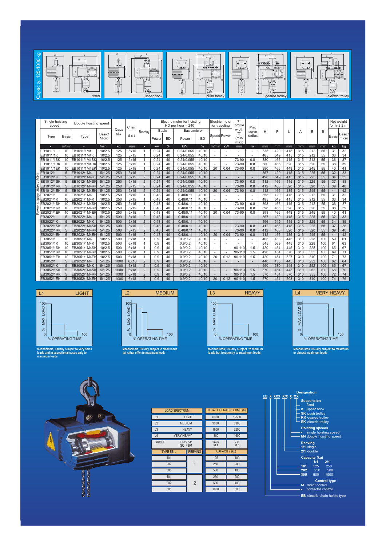

| Single hoisting<br>speed |                   |       | Double hoisting speed |                       |      | Chain |                | Electric motor for hoisting<br>$HD$ per hour = 240 |       |             |       | Electric motor<br>profile<br>for traveling |                          | Min.                 |        |     |     |     |     |     | Net weight<br>for $h=3.2$ m |       |                 |
|--------------------------|-------------------|-------|-----------------------|-----------------------|------|-------|----------------|----------------------------------------------------|-------|-------------|-------|--------------------------------------------|--------------------------|----------------------|--------|-----|-----|-----|-----|-----|-----------------------------|-------|-----------------|
|                          |                   |       |                       |                       | Capa |       | Reeving        |                                                    | Basic | Basic/micro |       |                                            |                          | width                | curve  | Н   | F   |     | Α   | E   | B                           |       |                 |
|                          | Type              | Basic | Type                  | <b>Basic</b><br>Micro | city | dx    |                | Power                                              | ED    | Power       | ED    | Speed Power                                |                          | "Х"<br>(min/<br>max) | radius |     |     |     |     |     |                             | Basic | Basic/<br>micro |
|                          |                   | m/min |                       | /min                  | kg   | mm    | ÷.             | kw                                                 | %     | kW          | %     | m/min                                      | кW                       | mm                   | m      | mm  | mm  | mm  | mm  | mm  | mm                          | kg    | kg              |
|                          | EB1011/1          | 10    | EB1011/1M4            | 10/2.5                | 125  | 5x15  |                | 0.24                                               | 40    | 0.24/0.055  | 40/10 |                                            |                          |                      |        | 335 | 420 | 415 | 315 | 212 | 55                          | 31    | 32              |
|                          | EB1011/1K         | 10    | EB1011/1M4K           | 10/2.5                | 125  | 5x15  |                | 0.24                                               | 40    | 0.24/0.055  | 40/10 |                                            |                          |                      |        | 465 | 549 | 415 | 315 | 212 | 55                          | 33    | 34              |
|                          | EB1011/1SK        | 10    | EB1011/1M4SK          | 10/2.5                | 125  | 5x15  |                | 0.24                                               | 40    | 0.24/0.055  | 40/10 |                                            | $\overline{a}$           | 73-90                | 0.8    | 380 | 466 | 415 | 315 | 212 | 55                          | 36    | 37              |
|                          | EB1011/1RK        | 10    | EB1011/1M4RK          | 10/2.5                | 125  | 5x15  |                | 0.24                                               | 40    | 0.24/0.055  | 40/10 |                                            |                          | 73-90                | 0.8    | 380 | 466 | 520 | 315 | 320 | 55                          | 38    | 39              |
|                          | EB1011/1EK        | 10    | EB1011/1M4EK          | 10/2.5                | 125  | 5x15  |                | 0.24                                               | 40    | 0.24/0.055  | 40/10 | 20                                         | 0.04                     | 73-90                | 0.8    | 380 | 466 | 448 | 315 | 245 | 55                          | 40    | 41              |
|                          | EB1012/1          | 5     | EB1012/1M4            | 5/1.25                | 250  | 5x15  | $\overline{2}$ | 0.24                                               | 40    | 0.24/0.055  | 40/10 |                                            |                          |                      |        | 367 | 420 | 415 | 315 | 225 | 55                          | 32    | 33              |
| 50Hz                     | EB1012/1K         | 5     | EB1012/1M4K           | 5/1.25                | 250  | 5x15  | 2              | 0.24                                               | 40    | 0.24/0.055  | 40/10 |                                            |                          |                      |        | 496 | 549 | 415 | 315 | 225 | 55                          | 34    | 35              |
|                          | EB1012/1SK        | 5     | EB1012/1M4SK          | 5/1.25                | 250  | 5x15  | $\overline{2}$ | 0.24                                               | 40    | 0.24/0.055  | 40/10 |                                            | $\overline{a}$           | 73-90                | 0.8    | 412 | 466 | 415 | 315 | 225 | 55                          | 37    | 38              |
| λ                        | EB1012/1RK        | 5     | EB1012/1M4RI          | 5/1.25                | 250  | 5x15  | 2              | 0.24                                               | 40    | 0.24/0.055  | 40/10 |                                            |                          | 73-90                | 0.8    | 412 | 466 | 520 | 315 | 320 | 55                          | 39    | 40              |
|                          | EB1012/1EK        | 5     | EB1012/1M4EK          | 5/1.25                | 250  | 5x15  | $\overline{2}$ | 0.24                                               | 40    | 0.24/0.055  | 40/10 | 20                                         | 0.04                     | 73-90                | 0.8    | 412 | 466 | 435 | 315 | 245 | 55                          | 41    | 42              |
|                          | EB2021/1          | 10    | EB2021/1M4            | 10/2.5                | 250  | 5x15  |                | 0.48                                               | 40    | 0.48/0.11   | 40/10 |                                            |                          |                      |        | 355 | 420 | 415 | 315 | 212 | 55                          | 31    | 32              |
|                          | EB2021/1K         | 10    | EB2021/1M4K           | 10/2.5                | 250  | 5x15  |                | 0.48                                               | 40    | 0.48/0.11   | 40/10 | ٠                                          |                          |                      |        | 485 | 549 | 415 | 315 | 212 | 55                          | 33    | 34              |
|                          | EB2021/1SK        | 10    | EB2021/1M4SK          | 10/2.5                | 250  | 5x15  |                | 0.48                                               | 40    | 0.48/0.11   | 40/10 |                                            | $\overline{a}$           | 73-90                | 0.8    | 398 | 466 | 415 | 315 | 212 | 55                          | 36    | 37              |
|                          | EB2021/1RK        | 10    | EB2021/1M4RK          | 10/2.5                | 250  | 5x15  |                | 0.48                                               | 40    | 0.48/0.11   | 40/10 |                                            | $\overline{a}$           | 73-90                | 0.8    | 398 | 466 | 520 | 315 | 320 | 55                          | 38    | 39              |
|                          | EB2021/1EK        | 10    | EB2021/1M4EK          | 10/2.5                | 250  | 5x15  |                | 0.48                                               | 40    | 0.48/0.11   | 40/10 | 20                                         | 0.04                     | 73-90                | 0.8    | 398 | 466 | 448 | 315 | 245 | 55                          | 40    | 41              |
|                          | EB2022/1          | 5     | EB2022/1M4            | 5/1.25                | 500  | 5x15  | $\overline{2}$ | 0.48                                               | 40    | 0.48/0.11   | 40/10 |                                            |                          |                      |        | 367 | 420 | 415 | 315 | 225 | 55                          | 32    | 33              |
|                          | EB2022/1K         | 5     | EB2022/1M4K           | 5/1.25                | 500  | 5x15  | 2              | 0.48                                               | 40    | 0.48/0.11   | 40/10 |                                            |                          |                      |        | 496 | 549 | 415 | 315 | 225 | 55                          | 34    | 35              |
|                          | <b>EB2022/1SK</b> | 5     | EB2022/1M4SK          | 5/1.25                | 500  | 5x15  | $\overline{2}$ | 0.48                                               | 40    | 0.48/0.11   | 40/10 |                                            | $\overline{a}$           | 73-90                | 0.8    | 412 | 466 | 415 | 315 | 225 | 55                          | 37    | 38              |
|                          | <b>EB2022/1RK</b> | 5     | EB2022/1M4RK          | 5/1.25                | 500  | 5x15  | $\overline{2}$ | 0.48                                               | 40    | 0.48/0.11   | 40/10 |                                            |                          | 73-90                | 0.8    | 412 | 466 | 520 | 315 | 320 | 55                          | 39    | 40              |
|                          | EB2022/1EK        | 5     | EB2022/1M4EK          | 5/1.25                | 500  | 5x15  | $\overline{2}$ | 0.48                                               | 40    | 0.48/0.11   | 40/10 | 20                                         | 0.04                     | 73-90                | 0.8    | 412 | 466 | 435 | 315 | 245 | 55                          | 41    | 42              |
|                          | EB3051/1          | 10    | EB3051/1M4            | 10/2.5                | 500  | 6x18  |                | 0.9                                                | 40    | 0.9/0.2     | 40/10 |                                            |                          |                      |        | 405 | 438 | 445 | 310 | 228 | 100                         | 59    | 61              |
|                          | EB3051/1K         | 10    | EB3051/1M4K           | 10/2.5                | 500  | 6x18  |                | 0.9                                                | 40    | 0.9/0.2     | 40/10 | ٠                                          | $\overline{a}$           |                      |        | 545 | 569 | 445 | 310 | 228 | 100                         | 61    | 63              |
|                          | <b>EB3051/1SK</b> | 10    | EB3051/1M4SK          | 10/2.5                | 500  | 6x18  |                | 0.9                                                | 40    | 0.9/0.2     | 40/10 | ٠                                          | $\overline{\phantom{a}}$ | 90-110               | 1.5    | 420 | 454 | 445 | 310 | 228 | 100                         | 65    | 67              |
|                          | EB3051/1RK        | 10    | EB3051/1M4RI          | 10/2.5                | 500  | 6x18  |                | 0.9                                                | 40    | 0.9/0.2     | 40/10 |                                            |                          | 90-110               | 1.5    | 420 | 454 | 570 | 310 | 355 | 100                         | 69    | 71              |
|                          | EB3051/1EK        | 10    | EB3051/1M4EK          | 10/2.5                | 500  | 6x18  |                | 0.9                                                | 40    | 0.9/0.2     | 40/10 | 20                                         | 0.12                     | 90-110               | 1.5    | 420 | 454 | 527 | 310 | 310 | 100                         | 71    | 73              |
|                          | EB3052/1          | 5     | EB3052/1M4            | 5/1.25                | 1000 | 6X18  | 2              | 0.9                                                | 40    | 0.9/0.2     | 40/10 |                                            |                          |                      |        | 440 | 438 | 445 | 310 | 252 | 100                         | 62    | 64              |
|                          | EB3052/1K         | 5     | EB3052/1M4K           | 5/1.25                | 1000 | 6x18  | 2              | 0.9                                                | 40    | 0.9/0.2     | 40/10 |                                            |                          |                      |        | 590 | 580 | 445 | 310 | 252 | 100                         | 65    | 67              |
|                          | <b>EB3052/1SK</b> | 5     | EB3052/1M4SK          | 5/1.25                | 1000 | 6x18  | $\overline{2}$ | 0.9                                                | 40    | 0.9/0.2     | 40/10 | ÷                                          | $\overline{\phantom{a}}$ | $90 - 110$           | 1.5    | 570 | 454 | 445 | 310 | 252 | 100                         | 68    | 70              |
|                          | EB3052/1RK        | 5     | EB3052/1M4RI          | 5/1.25                | 1000 | 6x18  | $\overline{2}$ | 0.9                                                | 40    | 0.9/0.2     | 40/10 |                                            |                          | $90 - 110$           | 1.5    | 570 | 454 | 570 | 310 | 355 | 100                         | 72    | 74              |
|                          | EB3052/1EK        | 5     | EB3052/1M4EK          | 5/1.25                | 1000 | 6x18  | $\overline{2}$ | 0.9                                                | 40    | 0.9/0.2     | 40/10 | 20                                         | 0.12                     | 90-110               | 1.5    | 570 | 454 | 503 | 310 | 310 | 100                         | 74    | 76              |





**Mechanisms, usually subject to small loads** b**ut rather offen to maximum loads**



**Mechanisms, usually subject to medium loads but frequently to maximum loads**





| <b>LOAD SPECTRUM</b>                  | <b>TOTAL OPERATING TIME (h)</b> |                                   |                       |  |  |  |  |  |
|---------------------------------------|---------------------------------|-----------------------------------|-----------------------|--|--|--|--|--|
| L1                                    | LIGHT                           | 6300                              | 12500                 |  |  |  |  |  |
| L2<br><b>MEDIUM</b>                   |                                 | 3200                              | 6300                  |  |  |  |  |  |
| L <sub>3</sub>                        | <b>HEAVY</b>                    | 1600<br>3200                      |                       |  |  |  |  |  |
| L4<br><b>VERY HEAVY</b>               |                                 | 800                               | 1600                  |  |  |  |  |  |
| <b>GROUP</b><br>FEM 9.511<br>ISO 4301 |                                 | 1A <sub>m</sub><br>M <sub>4</sub> | 2 <sub>m</sub><br>M 5 |  |  |  |  |  |
| TYPE EB                               | <b>REEVING</b>                  | CAPACITY (kg)                     |                       |  |  |  |  |  |
| 101                                   |                                 | 125                               | 100                   |  |  |  |  |  |
| 202                                   | 1                               | 250                               | 200                   |  |  |  |  |  |
| 305                                   |                                 | 500                               | 400                   |  |  |  |  |  |
| 101                                   |                                 | 250                               | 200                   |  |  |  |  |  |
| 202                                   | $\overline{2}$                  | 500                               | 400                   |  |  |  |  |  |
| 305                                   |                                 | 1000                              | 800                   |  |  |  |  |  |